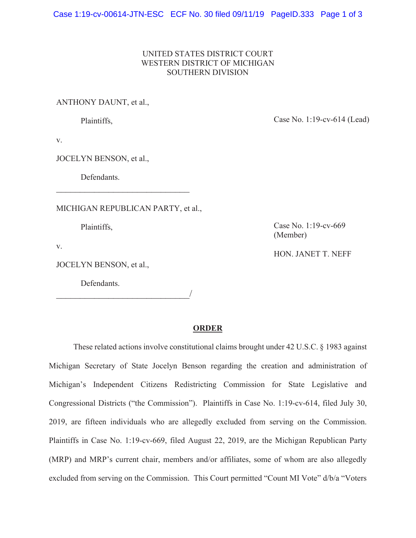Case 1:19-cv-00614-JTN-ESC ECF No. 30 filed 09/11/19 PageID.333 Page 1 of 3

## UNITED STATES DISTRICT COURT WESTERN DISTRICT OF MICHIGAN SOUTHERN DIVISION

ANTHONY DAUNT, et al.,

Plaintiffs,

Case No. 1:19-cv-614 (Lead)

v.

JOCELYN BENSON, et al.,

Defendants.

MICHIGAN REPUBLICAN PARTY, et al.,

 $\overline{\phantom{a}}$ 

\_\_\_\_\_\_\_\_\_\_\_\_\_\_\_\_\_\_\_\_\_\_\_\_\_\_\_\_

Plaintiffs,

v.

JOCELYN BENSON, et al.,

Defendants.

Case No. 1:19-cv-669 (Member)

HON. JANET T. NEFF

## **ORDER**

These related actions involve constitutional claims brought under 42 U.S.C. § 1983 against Michigan Secretary of State Jocelyn Benson regarding the creation and administration of Michigan's Independent Citizens Redistricting Commission for State Legislative and Congressional Districts ("the Commission"). Plaintiffs in Case No. 1:19-cv-614, filed July 30, 2019, are fifteen individuals who are allegedly excluded from serving on the Commission. Plaintiffs in Case No. 1:19-cv-669, filed August 22, 2019, are the Michigan Republican Party (MRP) and MRP's current chair, members and/or affiliates, some of whom are also allegedly excluded from serving on the Commission. This Court permitted "Count MI Vote" d/b/a "Voters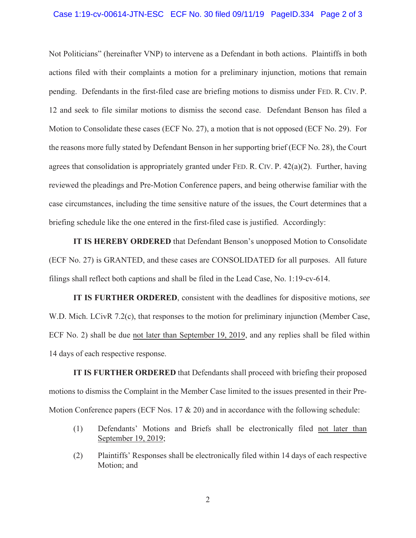## Case 1:19-cv-00614-JTN-ESC ECF No. 30 filed 09/11/19 PageID.334 Page 2 of 3

Not Politicians" (hereinafter VNP) to intervene as a Defendant in both actions. Plaintiffs in both actions filed with their complaints a motion for a preliminary injunction, motions that remain pending. Defendants in the first-filed case are briefing motions to dismiss under FED. R. CIV. P. 12 and seek to file similar motions to dismiss the second case. Defendant Benson has filed a Motion to Consolidate these cases (ECF No. 27), a motion that is not opposed (ECF No. 29). For the reasons more fully stated by Defendant Benson in her supporting brief (ECF No. 28), the Court agrees that consolidation is appropriately granted under FED. R. CIV. P. 42(a)(2). Further, having reviewed the pleadings and Pre-Motion Conference papers, and being otherwise familiar with the case circumstances, including the time sensitive nature of the issues, the Court determines that a briefing schedule like the one entered in the first-filed case is justified. Accordingly:

**IT IS HEREBY ORDERED** that Defendant Benson's unopposed Motion to Consolidate (ECF No. 27) is GRANTED, and these cases are CONSOLIDATED for all purposes. All future filings shall reflect both captions and shall be filed in the Lead Case, No. 1:19-cv-614.

**IT IS FURTHER ORDERED**, consistent with the deadlines for dispositive motions, *see* W.D. Mich. LCivR 7.2(c), that responses to the motion for preliminary injunction (Member Case, ECF No. 2) shall be due not later than September 19, 2019, and any replies shall be filed within 14 days of each respective response.

**IT IS FURTHER ORDERED** that Defendants shall proceed with briefing their proposed motions to dismiss the Complaint in the Member Case limited to the issues presented in their Pre-Motion Conference papers (ECF Nos.  $17 \& 20$ ) and in accordance with the following schedule:

- (1) Defendants' Motions and Briefs shall be electronically filed not later than September 19, 2019;
- (2) Plaintiffs' Responses shall be electronically filed within 14 days of each respective Motion; and